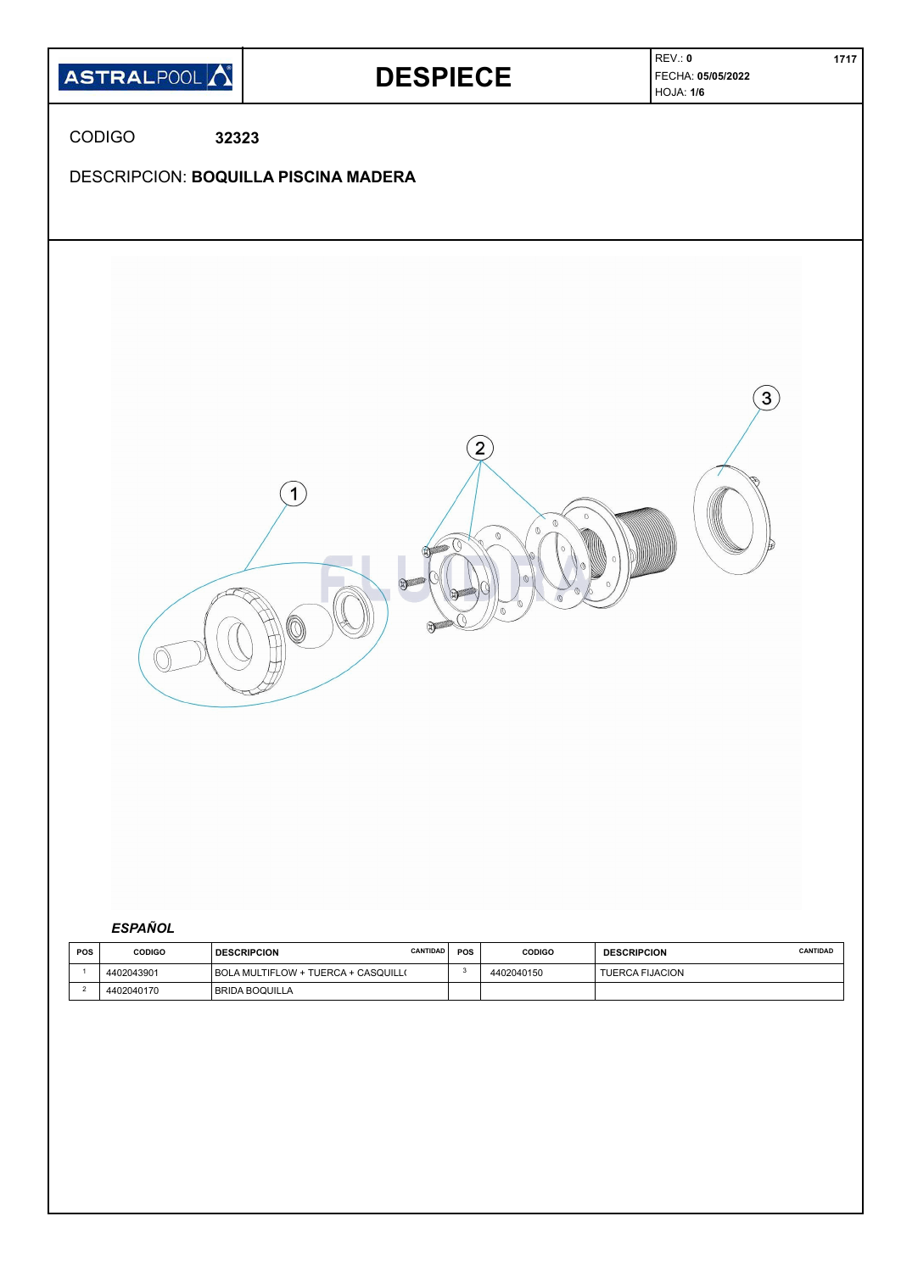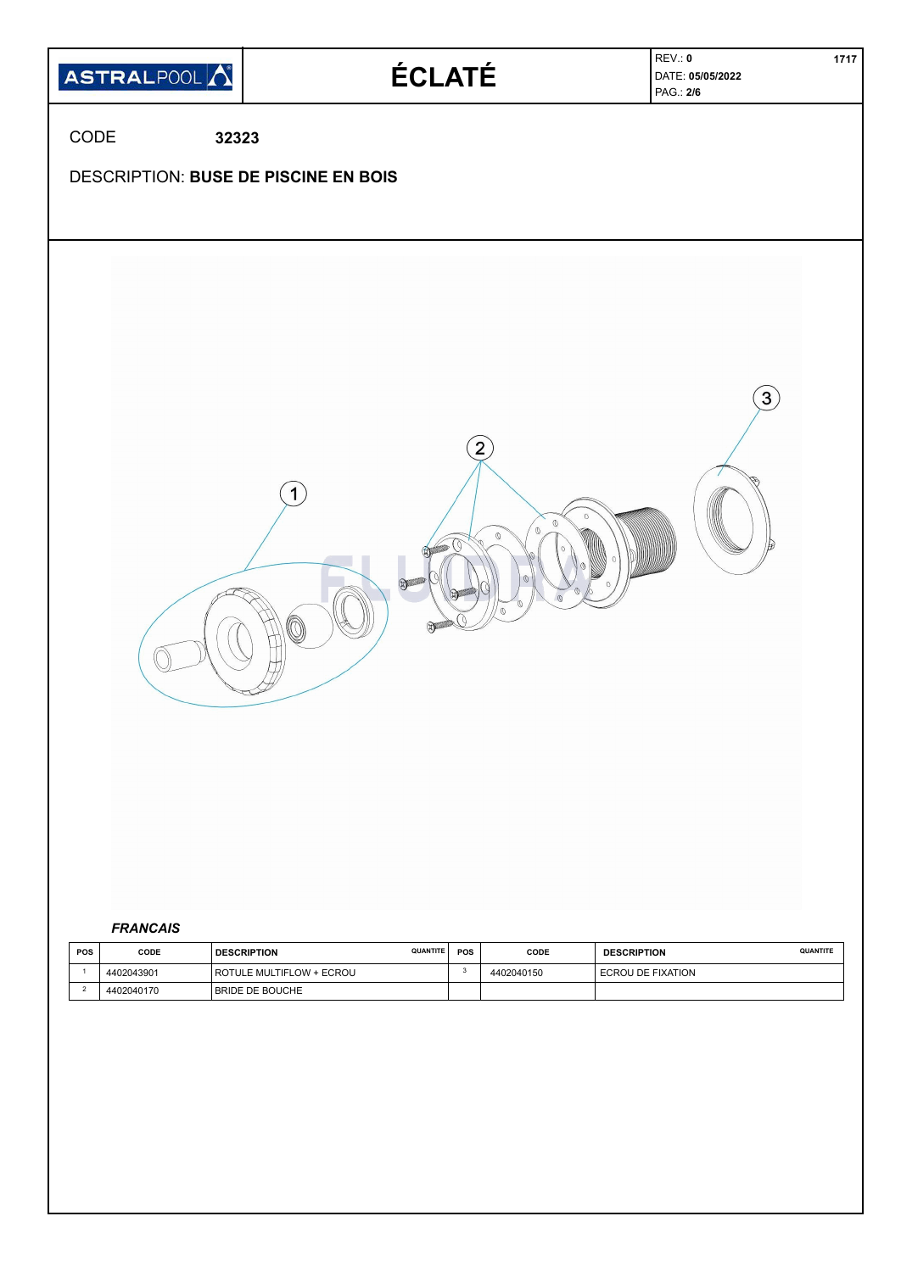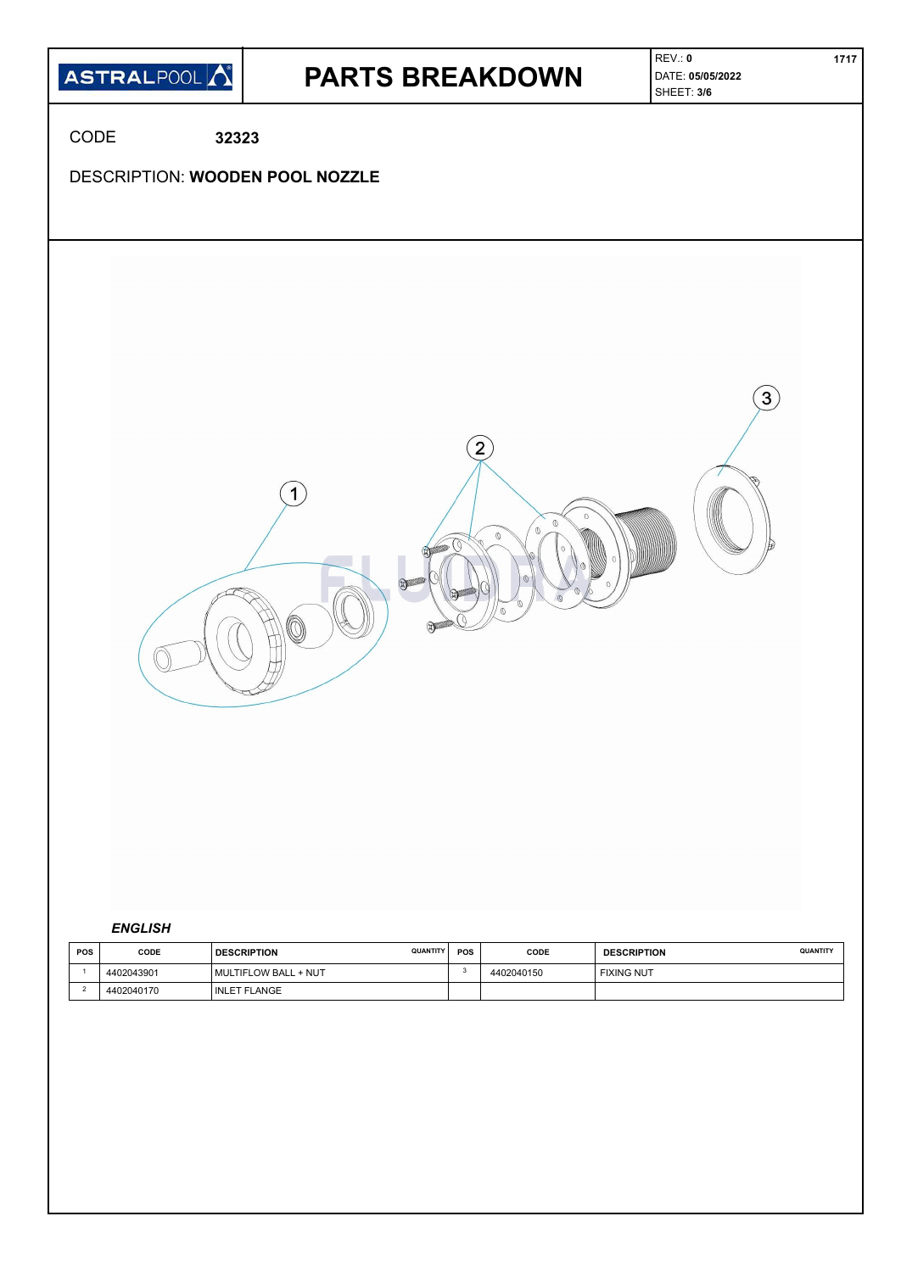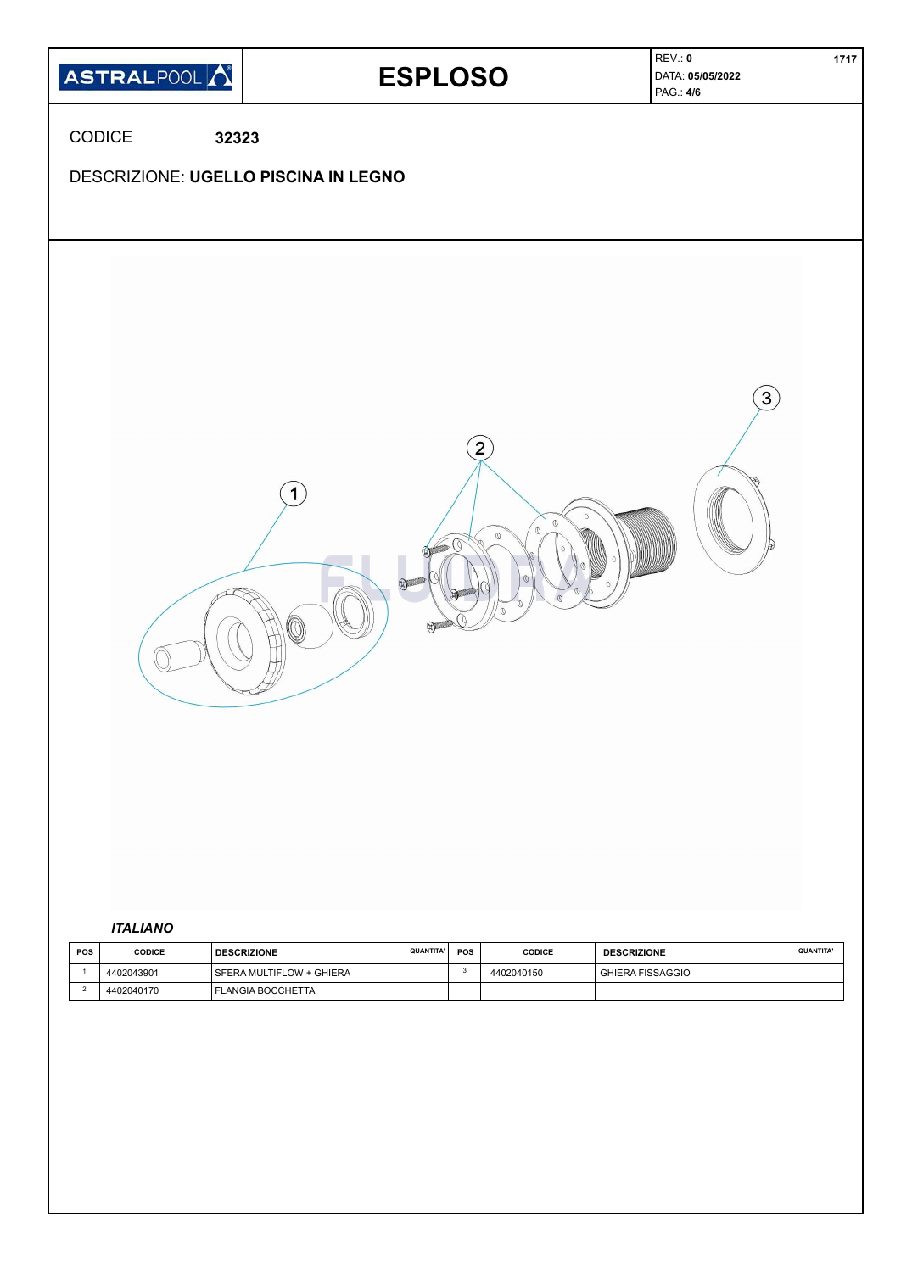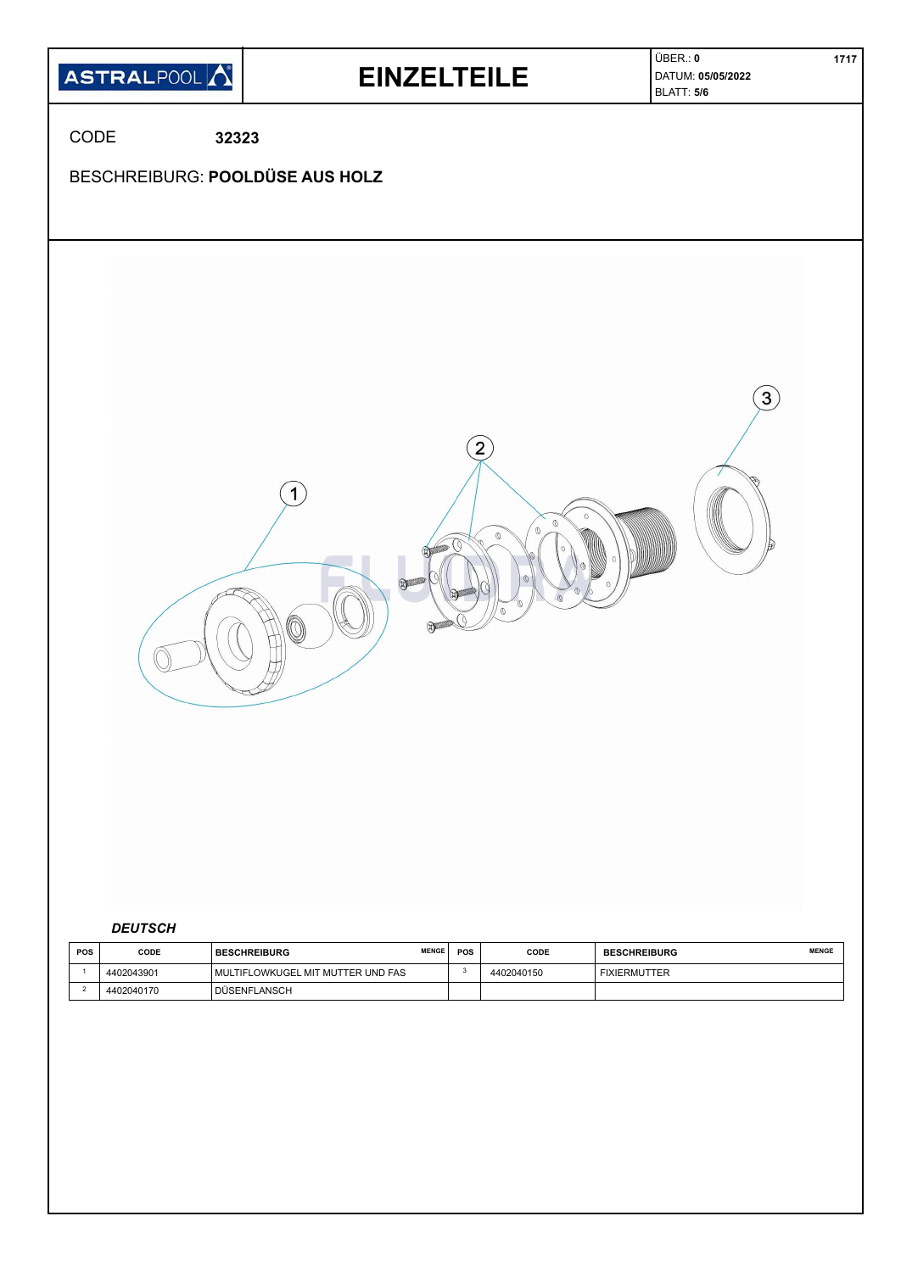